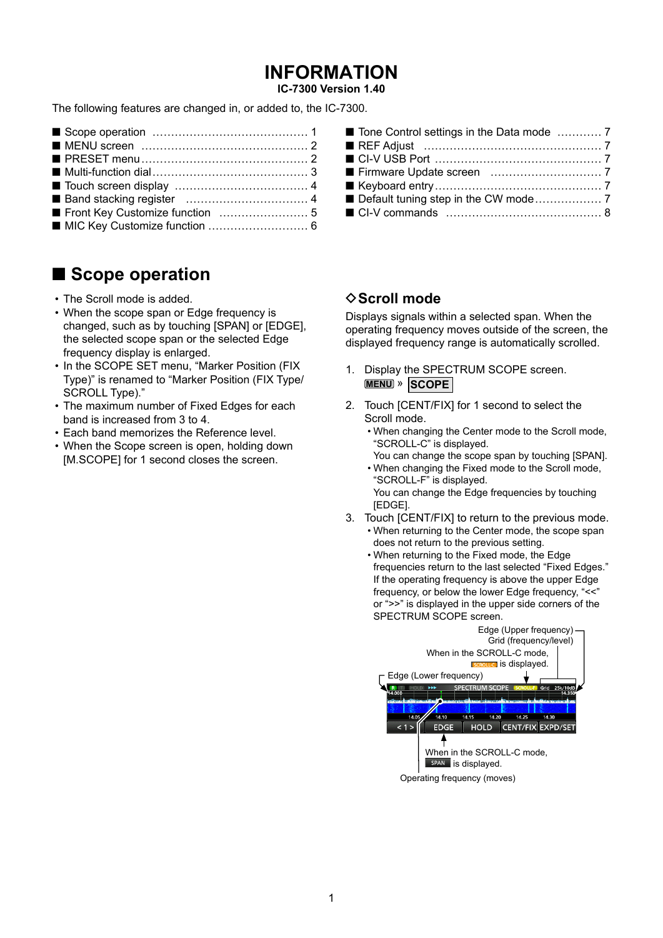# **INFORMATION**

**IC-7300 Version 1.40** 

The following features are changed in, or added to, the IC-7300.

# Scope operation

- The Scroll mode is added.
- When the scope span or Edge frequency is changed, such as by touching [SPAN] or [EDGE]. the selected scope span or the selected Edge frequency display is enlarged.
- In the SCOPE SET menu, "Marker Position (FIX Type)" is renamed to "Marker Position (FIX Type/ SCROLL Type)."
- The maximum number of Fixed Edges for each band is increased from 3 to 4.
- . Each band memorizes the Reference level.
- When the Scope screen is open, holding down [M.SCOPE] for 1 second closes the screen.

### **♦ Scroll mode**

Displays signals within a selected span. When the operating frequency moves outside of the screen, the displayed frequency range is automatically scrolled.

- 1. Display the SPECTRUM SCOPE screen. **MENU** » SCOPE
- 2. Touch [CENT/FIX] for 1 second to select the Scroll mode.
	- . When changing the Center mode to the Scroll mode, "SCROLL-C" is displayed.
	- You can change the scope span by touching [SPAN]. . When changing the Fixed mode to the Scroll mode,

"SCROLL-F" is displayed. You can change the Edge frequencies by touching [EDGE].

- 3. Touch [CENT/FIX] to return to the previous mode. . When returning to the Center mode, the scope span
	- does not return to the previous setting.
	- When returning to the Fixed mode, the Edge frequencies return to the last selected "Fixed Edges." If the operating frequency is above the upper Edge frequency, or below the lower Edge frequency, "<<" or ">>" is displayed in the upper side corners of the SPECTRUM SCOPE screen.

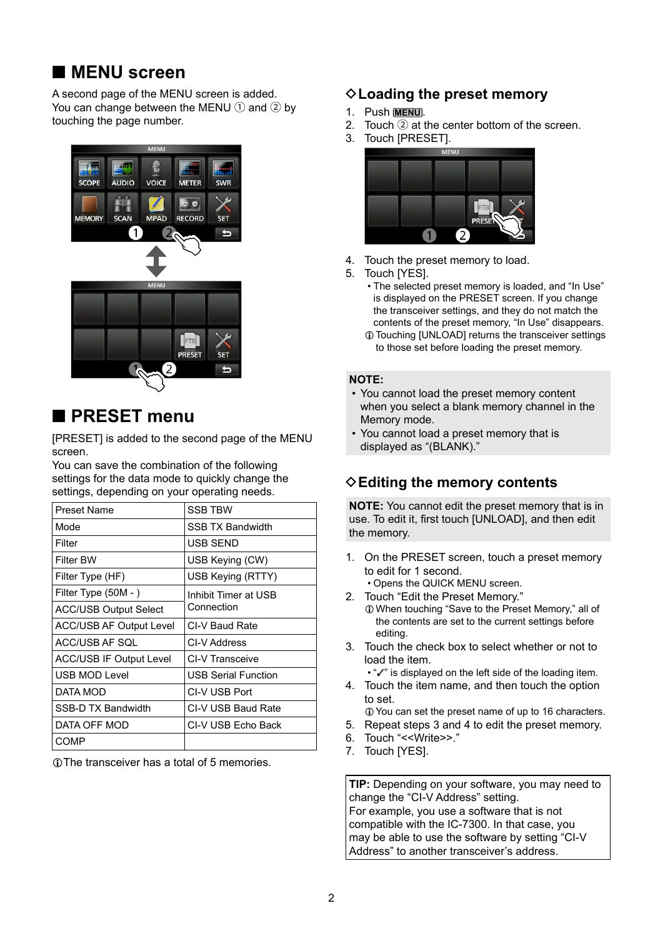## <span id="page-1-0"></span>■ **MENU** screen

A second page of the MENU screen is added. You can change between the MENU  $(1)$  and  $(2)$  by touching the page number.



## ■ **PRESET** menu

[PRESET] is added to the second page of the MENU screen.

You can save the combination of the following settings for the data mode to quickly change the settings, depending on your operating needs.

| Preset Name                    | <b>SSB TBW</b>             |
|--------------------------------|----------------------------|
| Mode                           | <b>SSB TX Bandwidth</b>    |
| Filter                         | USB SEND                   |
| Filter BW                      | USB Keying (CW)            |
| Filter Type (HF)               | USB Keying (RTTY)          |
| Filter Type (50M - )           | Inhibit Timer at USB       |
| <b>ACC/USB Output Select</b>   | Connection                 |
| <b>ACC/USB AF Output Level</b> | CI-V Baud Rate             |
| ACC/USB AF SOL                 | CI-V Address               |
| ACC/USB IF Output Level        | CI-V Transceive            |
| <b>USB MOD Level</b>           | <b>USB Serial Function</b> |
| DATA MOD                       | CI-V USB Port              |
| <b>SSB-D TX Bandwidth</b>      | CI-V USB Baud Rate         |
| DATA OFF MOD                   | CI-V USB Echo Back         |
| COMP                           |                            |

LThe transceiver has a total of 5 memories.

### **♦ Loading the preset memory**

- 1. Push **MENU**.
- 2. Touch 2 at the center bottom of the screen.
- 3. Touch [PRESET].



- 4. Touch the preset memory to load.
- 5. Touch [YES].
	- The selected preset memory is loaded, and "In Use" is displayed on the PRESET screen. If you change the transceiver settings, and they do not match the contents of the preset memory, "In Use" disappears.
	- LTouching [UNLOAD] returns the transceiver settings to those set before loading the preset memory.

### **NOTE:**

- You cannot load the preset memory content when you select a blank memory channel in the Memory mode.
- You cannot load a preset memory that is displayed as "(BLANK)."

### **♦ Editing the memory contents**

**NOTE:** You cannot edit the preset memory that is in use. To edit it, first touch [UNLOAD], and then edit the memory.

- 1. On the PRESET screen, touch a preset memory to edit for 1 second.
- Opens the QUICK MENU screen.
- 2. Touch "Edit the Preset Memory." LWhen touching "Save to the Preset Memory," all of the contents are set to the current settings before editing.
- 3. Touch the check box to select whether or not to load the item.
	- "✓" is displayed on the left side of the loading item.
- 4. Touch the item name, and then touch the option to set.
- LYou can set the preset name of up to 16 characters.
- 5. Repeat steps 3 and 4 to edit the preset memory.
- 6. Touch "<<Write>>."
- 7. Touch [YES].

**TIP:** Depending on your software, you may need to change the "CI-V Address" setting. For example, you use a software that is not compatible with the IC-7300. In that case, you may be able to use the software by setting "CI-V Address" to another transceiver's address.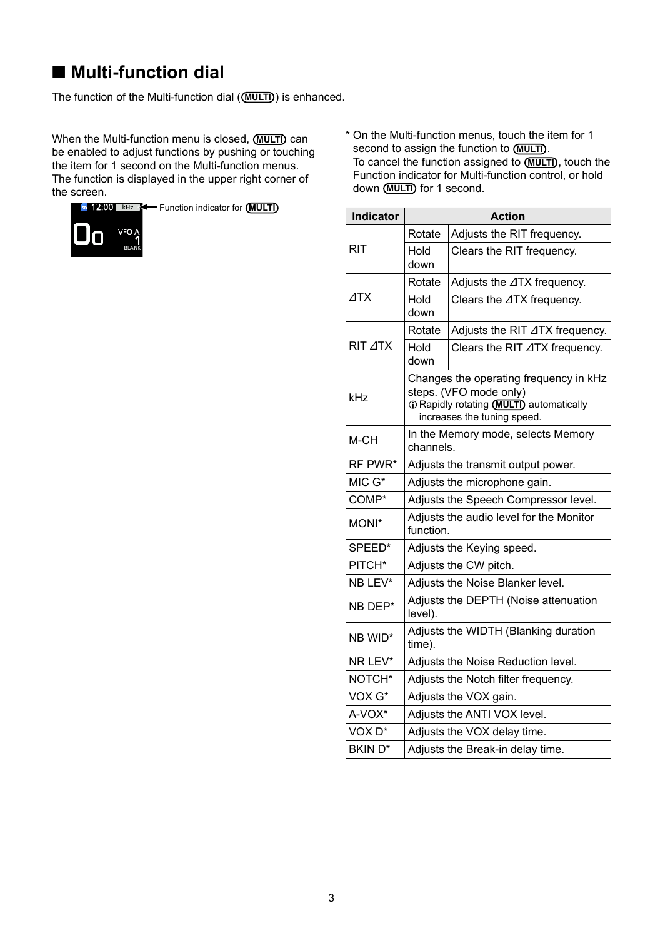# <span id="page-2-0"></span>■ **Multi-function dial**

The function of the Multi-function dial (**MULTI**) is enhanced.

When the Multi-function menu is closed, (MULTI) can be enabled to adjust functions by pushing or touching the item for 1 second on the Multi-function menus. The function is displayed in the upper right corner of the screen.



\* On the Multi-function menus, touch the item for 1 second to assign the function to (MULTI). To cancel the function assigned to **MULTI**), touch the Function indicator for Multi-function control, or hold down **(MULTI)** for 1 second.

| <b>Indicator</b>   | <b>Action</b>                                                                                                                               |                                    |
|--------------------|---------------------------------------------------------------------------------------------------------------------------------------------|------------------------------------|
|                    | Rotate                                                                                                                                      | Adjusts the RIT frequency.         |
| <b>RIT</b>         | Hold<br>down                                                                                                                                | Clears the RIT frequency.          |
|                    | Rotate                                                                                                                                      | Adjusts the ⊿TX frequency.         |
| $\triangle$ TX     | Hold<br>down                                                                                                                                | Clears the ⊿TX frequency.          |
|                    | Rotate                                                                                                                                      | Adjusts the RIT ⊿TX frequency.     |
| RIT <b>ATX</b>     | Hold<br>down                                                                                                                                | Clears the RIT ⊿TX frequency.      |
| kHz                | Changes the operating frequency in kHz<br>steps. (VFO mode only)<br>1 Rapidly rotating (MULTI) automatically<br>increases the tuning speed. |                                    |
| M-CH               | In the Memory mode, selects Memory<br>channels.                                                                                             |                                    |
| RF PWR*            |                                                                                                                                             | Adjusts the transmit output power. |
| MIC G*             | Adjusts the microphone gain.                                                                                                                |                                    |
| COMP*              | Adjusts the Speech Compressor level.                                                                                                        |                                    |
| MONI*              | Adjusts the audio level for the Monitor<br>function.                                                                                        |                                    |
| SPEED*             | Adjusts the Keying speed.                                                                                                                   |                                    |
| PITCH*             | Adjusts the CW pitch.                                                                                                                       |                                    |
| NB LEV*            | Adjusts the Noise Blanker level.                                                                                                            |                                    |
| NB DEP*            | Adjusts the DEPTH (Noise attenuation<br>level).                                                                                             |                                    |
| NB WID*            | Adjusts the WIDTH (Blanking duration<br>time).                                                                                              |                                    |
| NR LEV*            | Adjusts the Noise Reduction level.                                                                                                          |                                    |
| NOTCH*             | Adjusts the Notch filter frequency.                                                                                                         |                                    |
| VOX G*             |                                                                                                                                             | Adjusts the VOX gain.              |
| A-VOX*             |                                                                                                                                             | Adjusts the ANTI VOX level.        |
| VOX <sub>D</sub> * |                                                                                                                                             | Adjusts the VOX delay time.        |
| <b>BKIND*</b>      | Adjusts the Break-in delay time.                                                                                                            |                                    |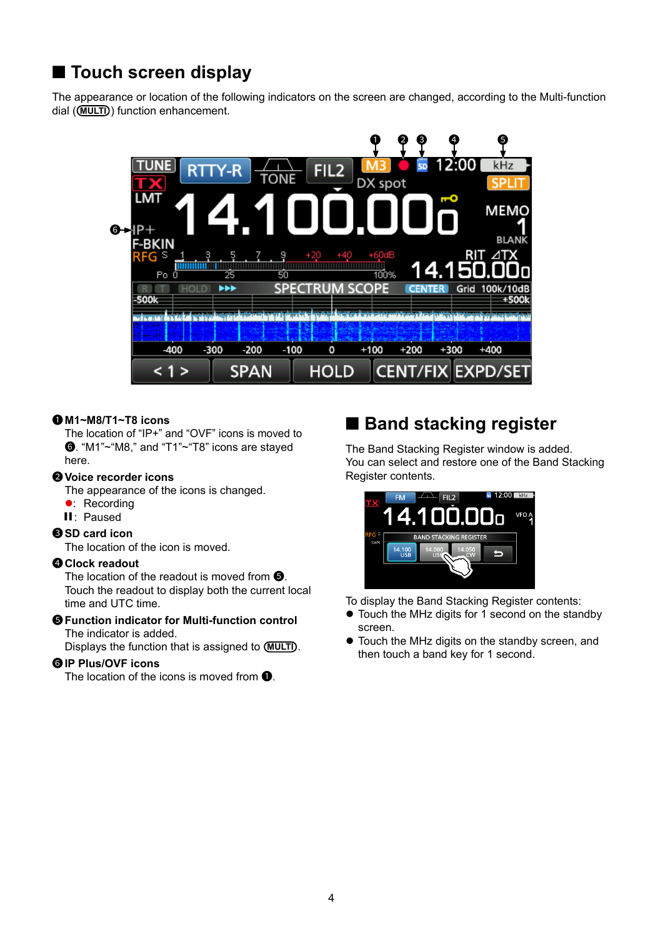# <span id="page-3-0"></span>■ **Touch screen display**

The appearance or location of the following indicators on the screen are changed, according to the Multi-function dial ( $\overline{(MULTI)}$ ) function enhancement.



### 1 **M1~M8/T1~T8 icons**

 The location of "IP+" and "OVF" icons is moved to 6. "M1"~"M8," and "T1"~"T8" icons are stayed here.

### 2 **Voice recorder icons**

The appearance of the icons is changed.

- **•** Recording
- ▌▌: Paused

### **3**SD card icon

The location of the icon is moved.

#### 4 **Clock readout**

The location of the readout is moved from  $\mathbf{\Theta}$ . Touch the readout to display both the current local time and UTC time.

#### $\Theta$  **Function indicator for Multi-function control** The indicator is added.

Displays the function that is assigned to **(MULTI)**.

### 6 **IP Plus/OVF icons**

The location of the icons is moved from  $\bullet$ .

# ■ **Band stacking register**

The Band Stacking Register window is added. You can select and restore one of the Band Stacking Register contents.



To display the Band Stacking Register contents:

- $\bullet$  Touch the MHz digits for 1 second on the standby screen.
- Touch the MHz digits on the standby screen, and then touch a band key for 1 second.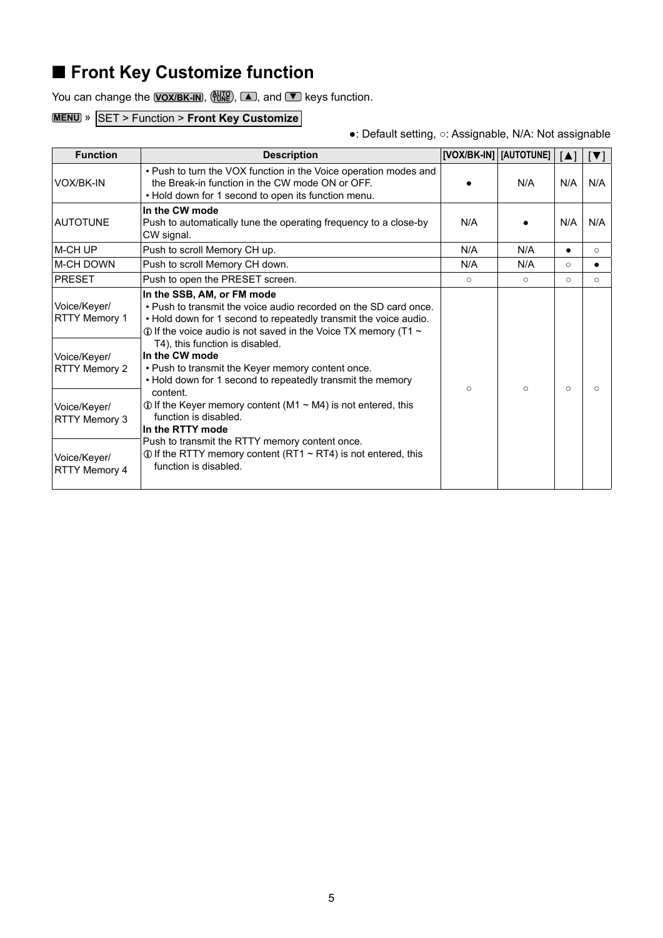# <span id="page-4-0"></span>■ **Front Key Customize function**

You can change the **VOX/BK-IN**, (the Tune and ▼ keys function.

### **MENU** » SET > Function > **Front Key Customize**

●: Default setting, ○: Assignable, N/A: Not assignable

| <b>Function</b>                                                       | <b>Description</b>                                                                                                                                                                                                                                                                                                                                                                                                                  |           | [VOX/BK-IN]   [AUTOTUNE] | $\blacksquare$ | IVI       |
|-----------------------------------------------------------------------|-------------------------------------------------------------------------------------------------------------------------------------------------------------------------------------------------------------------------------------------------------------------------------------------------------------------------------------------------------------------------------------------------------------------------------------|-----------|--------------------------|----------------|-----------|
| VOX/BK-IN                                                             | • Push to turn the VOX function in the Voice operation modes and<br>the Break-in function in the CW mode ON or OFF.<br>• Hold down for 1 second to open its function menu.                                                                                                                                                                                                                                                          |           | N/A                      | N/A            | N/A       |
| <b>AUTOTUNE</b>                                                       | In the CW mode<br>Push to automatically tune the operating frequency to a close-by<br>CW signal.                                                                                                                                                                                                                                                                                                                                    | N/A       |                          | N/A            | N/A       |
| M-CH UP                                                               | Push to scroll Memory CH up.                                                                                                                                                                                                                                                                                                                                                                                                        | N/A       | N/A                      |                | $\circ$   |
| <b>M-CH DOWN</b>                                                      | Push to scroll Memory CH down.                                                                                                                                                                                                                                                                                                                                                                                                      | N/A       | N/A                      | $\circ$        |           |
| <b>PRESET</b>                                                         | Push to open the PRESET screen.                                                                                                                                                                                                                                                                                                                                                                                                     | $\Omega$  | $\circ$                  | $\Omega$       | $\circ$   |
| Voice/Keyer/<br><b>RTTY Memory 1</b><br>Voice/Keyer/<br>RTTY Memory 2 | In the SSB, AM, or FM mode<br>. Push to transmit the voice audio recorded on the SD card once.<br>. Hold down for 1 second to repeatedly transmit the voice audio.<br>$\odot$ If the voice audio is not saved in the Voice TX memory (T1 $\sim$<br>T4), this function is disabled.<br>In the CW mode<br>• Push to transmit the Keyer memory content once.<br>• Hold down for 1 second to repeatedly transmit the memory<br>content. | $\bigcap$ | $\Omega$                 | $\Omega$       | $\bigcap$ |
| Voice/Keyer/<br>RTTY Memory 3                                         | $\odot$ If the Keyer memory content (M1 $\sim$ M4) is not entered, this<br>function is disabled.<br>In the RTTY mode                                                                                                                                                                                                                                                                                                                |           |                          |                |           |
| Voice/Keyer/<br><b>RTTY Memory 4</b>                                  | Push to transmit the RTTY memory content once.<br>$\odot$ If the RTTY memory content (RT1 $\sim$ RT4) is not entered, this<br>function is disabled.                                                                                                                                                                                                                                                                                 |           |                          |                |           |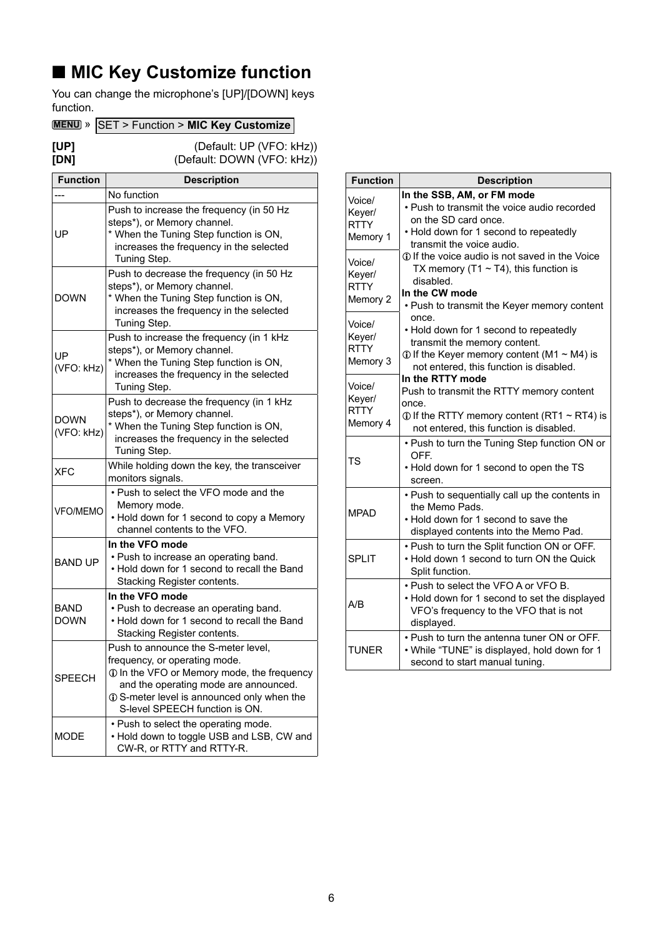# <span id="page-5-0"></span>■ **MIC Key Customize function**

You can change the microphone's [UP]/[DOWN] keys function.

### **MENU** » SET > Function > **MIC Key Customize**

**[UP]** (Default: UP (VFO: kHz))<br> **[DN]** (Default: DOWN (VFO: kHz)) **(Default: DOWN (VFO: kHz))** 

| <b>Function</b>           | <b>Description</b>                                                                                                                                                                                                                          |  |  |
|---------------------------|---------------------------------------------------------------------------------------------------------------------------------------------------------------------------------------------------------------------------------------------|--|--|
|                           | No function                                                                                                                                                                                                                                 |  |  |
| UP                        | Push to increase the frequency (in 50 Hz<br>steps*), or Memory channel.<br>* When the Tuning Step function is ON,<br>increases the frequency in the selected<br>Tuning Step.                                                                |  |  |
| <b>DOWN</b>               | Push to decrease the frequency (in 50 Hz<br>steps*), or Memory channel.<br>* When the Tuning Step function is ON,<br>increases the frequency in the selected<br>Tuning Step.                                                                |  |  |
| UP<br>(VFO: kHz)          | Push to increase the frequency (in 1 kHz<br>steps*), or Memory channel.<br>* When the Tuning Step function is ON,<br>increases the frequency in the selected<br>Tuning Step.                                                                |  |  |
| <b>DOWN</b><br>(VFO: kHz) | Push to decrease the frequency (in 1 kHz<br>steps*), or Memory channel.<br>* When the Tuning Step function is ON,<br>increases the frequency in the selected<br>Tuning Step.                                                                |  |  |
| XFC                       | While holding down the key, the transceiver<br>monitors signals.                                                                                                                                                                            |  |  |
| <b>VFO/MEMO</b>           | . Push to select the VFO mode and the<br>Memory mode.<br>• Hold down for 1 second to copy a Memory<br>channel contents to the VFO.                                                                                                          |  |  |
| <b>BAND UP</b>            | In the VFO mode<br>• Push to increase an operating band.<br>• Hold down for 1 second to recall the Band<br>Stacking Register contents.                                                                                                      |  |  |
| BAND<br><b>DOWN</b>       | In the VFO mode<br>• Push to decrease an operating band.<br>. Hold down for 1 second to recall the Band<br>Stacking Register contents.                                                                                                      |  |  |
| <b>SPEECH</b>             | Push to announce the S-meter level,<br>frequency, or operating mode.<br>1 In the VFO or Memory mode, the frequency<br>and the operating mode are announced.<br>1 S-meter level is announced only when the<br>S-level SPEECH function is ON. |  |  |
| MODE                      | • Push to select the operating mode.<br>. Hold down to toggle USB and LSB, CW and<br>CW-R, or RTTY and RTTY-R.                                                                                                                              |  |  |

| <b>Function</b>                             | <b>Description</b>                                                                                                                                                                  |
|---------------------------------------------|-------------------------------------------------------------------------------------------------------------------------------------------------------------------------------------|
| Voice/<br>Keyer/<br><b>RTTY</b><br>Memory 1 | In the SSB, AM, or FM mode<br>• Push to transmit the voice audio recorded<br>on the SD card once.<br>• Hold down for 1 second to repeatedly<br>transmit the voice audio.            |
| Voice/<br>Keyer/<br><b>RTTY</b><br>Memory 2 | 10 If the voice audio is not saved in the Voice<br>TX memory (T1 $\sim$ T4), this function is<br>disabled.<br>In the CW mode<br>• Push to transmit the Keyer memory content         |
| Voice/<br>Keyer/<br><b>RTTY</b><br>Memory 3 | once.<br>• Hold down for 1 second to repeatedly<br>transmit the memory content.<br>$\odot$ If the Keyer memory content (M1 $\sim$ M4) is<br>not entered, this function is disabled. |
| Voice/<br>Keyer/<br><b>RTTY</b><br>Memory 4 | In the RTTY mode<br>Push to transmit the RTTY memory content<br>once.<br>$\odot$ If the RTTY memory content (RT1 ~ RT4) is<br>not entered, this function is disabled.               |
| <b>TS</b>                                   | • Push to turn the Tuning Step function ON or<br>OFF.<br>• Hold down for 1 second to open the TS<br>screen.                                                                         |
| <b>MPAD</b>                                 | • Push to sequentially call up the contents in<br>the Memo Pads.<br>. Hold down for 1 second to save the<br>displayed contents into the Memo Pad.                                   |
| <b>SPLIT</b>                                | . Push to turn the Split function ON or OFF.<br>• Hold down 1 second to turn ON the Quick<br>Split function.                                                                        |
| A/B                                         | • Push to select the VFO A or VFO B.<br>• Hold down for 1 second to set the displayed<br>VFO's frequency to the VFO that is not<br>displayed.                                       |
| <b>TUNER</b>                                | . Push to turn the antenna tuner ON or OFF.<br>. While "TUNE" is displayed, hold down for 1<br>second to start manual tuning.                                                       |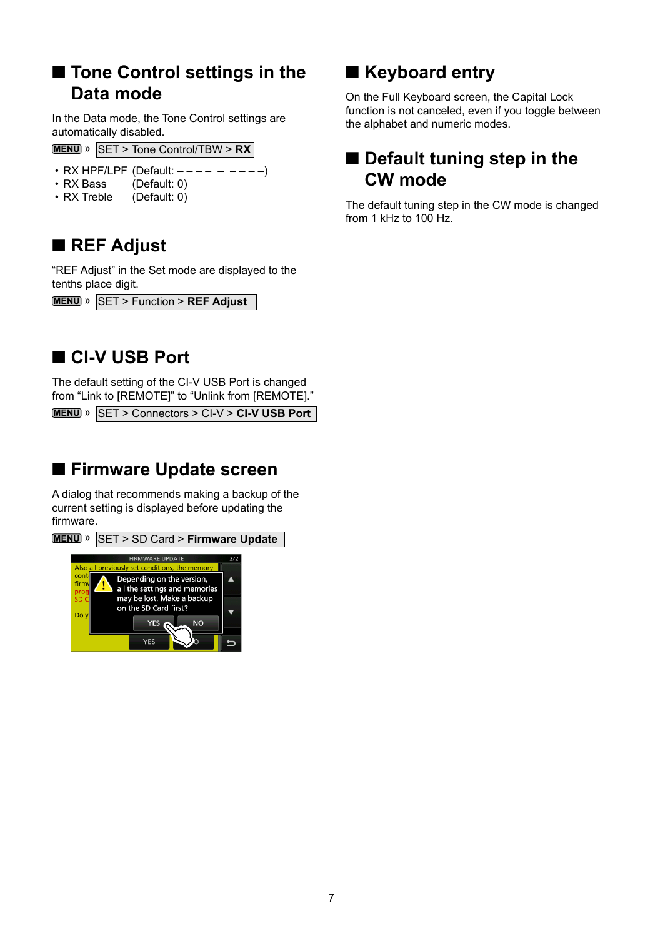# <span id="page-6-0"></span>■ **Tone Control settings in the Data mode**

In the Data mode, the Tone Control settings are automatically disabled.

- **MENU** » SET > Tone Control/TBW > **RX**
- RX HPF/LPF (Default:  $--- -$  – – –)
- RX Bass (Default: 0)
- RX Treble (Default: 0)

# ■ **REF Adjust**

"REF Adjust" in the Set mode are displayed to the tenths place digit.

**MENU** » SET > Function > **REF Adjust**

# ■ **CI-V USB Port**

The default setting of the CI-V USB Port is changed from "Link to [REMOTE]" to "Unlink from [REMOTE]."

**MENU** » SET > Connectors > CI-V > CI-V USB Port

# ■ Firmware Update screen

A dialog that recommends making a backup of the current setting is displayed before updating the firmware.



# ■ **Keyboard entry**

On the Full Keyboard screen, the Capital Lock function is not canceled, even if you toggle between the alphabet and numeric modes.

# ■ Default tuning step in the **CW mode**

The default tuning step in the CW mode is changed from 1 kHz to 100 Hz.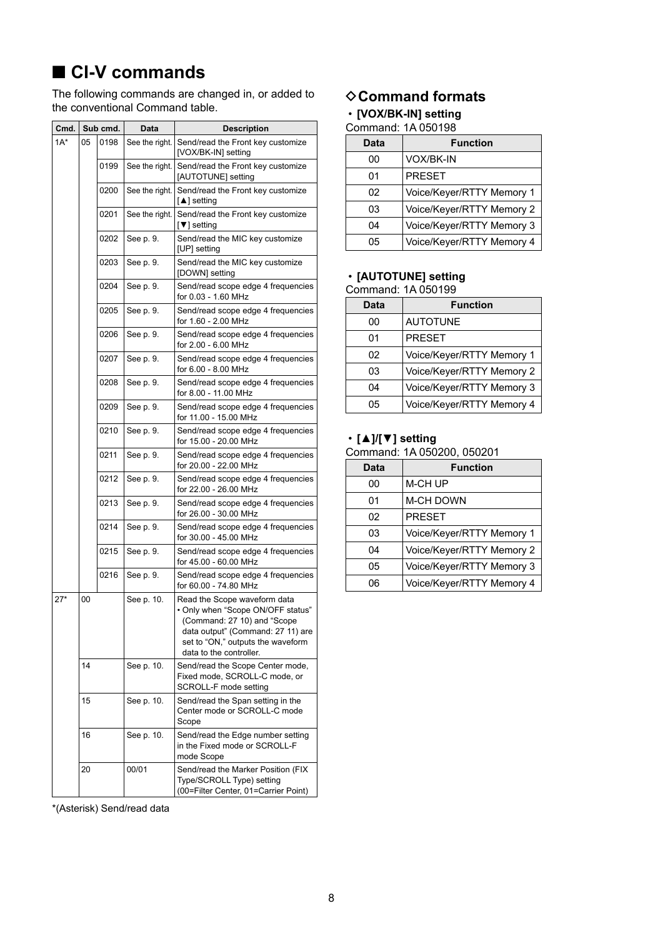<span id="page-7-0"></span>The following commands are changed in, or added to the conventional Command table.

| Cmd.   | Sub cmd. |      | Data           | <b>Description</b>                                                                                                                                                                                    |
|--------|----------|------|----------------|-------------------------------------------------------------------------------------------------------------------------------------------------------------------------------------------------------|
| $1A^*$ | 05       | 0198 | See the right. | Send/read the Front key customize<br>[VOX/BK-IN] setting                                                                                                                                              |
|        |          | 0199 | See the right. | Send/read the Front key customize<br>[AUTOTUNE] setting                                                                                                                                               |
|        |          | 0200 | See the right. | Send/read the Front key customize<br>[▲] setting                                                                                                                                                      |
|        |          | 0201 | See the right. | Send/read the Front key customize<br>[▼] setting                                                                                                                                                      |
|        |          | 0202 | See p. 9.      | Send/read the MIC key customize<br>[UP] setting                                                                                                                                                       |
|        |          | 0203 | See p. 9.      | Send/read the MIC key customize<br>[DOWN] setting                                                                                                                                                     |
|        |          | 0204 | See p. 9.      | Send/read scope edge 4 frequencies<br>for 0.03 - 1.60 MHz                                                                                                                                             |
|        |          | 0205 | See p. 9.      | Send/read scope edge 4 frequencies<br>for 1.60 - 2.00 MHz                                                                                                                                             |
|        |          | 0206 | See p. 9.      | Send/read scope edge 4 frequencies<br>for 2.00 - 6.00 MHz                                                                                                                                             |
|        |          | 0207 | See p. 9.      | Send/read scope edge 4 frequencies<br>for 6.00 - 8.00 MHz                                                                                                                                             |
|        |          | 0208 | See p. 9.      | Send/read scope edge 4 frequencies<br>for 8.00 - 11.00 MHz                                                                                                                                            |
|        |          | 0209 | See p. 9.      | Send/read scope edge 4 frequencies<br>for 11.00 - 15.00 MHz                                                                                                                                           |
|        |          | 0210 | See p. 9.      | Send/read scope edge 4 frequencies<br>for 15.00 - 20.00 MHz                                                                                                                                           |
|        |          | 0211 | See p. 9.      | Send/read scope edge 4 frequencies<br>for 20.00 - 22.00 MHz                                                                                                                                           |
|        |          | 0212 | See p. 9.      | Send/read scope edge 4 frequencies<br>for 22.00 - 26.00 MHz                                                                                                                                           |
|        |          | 0213 | See p. 9.      | Send/read scope edge 4 frequencies<br>for 26.00 - 30.00 MHz                                                                                                                                           |
|        |          | 0214 | See p. 9.      | Send/read scope edge 4 frequencies<br>for 30.00 - 45.00 MHz                                                                                                                                           |
|        |          | 0215 | See p. 9.      | Send/read scope edge 4 frequencies<br>for 45.00 - 60.00 MHz                                                                                                                                           |
|        |          | 0216 | See p. 9.      | Send/read scope edge 4 frequencies<br>for 60.00 - 74.80 MHz                                                                                                                                           |
| $27*$  | 00       |      | See p. 10.     | Read the Scope waveform data<br>• Only when "Scope ON/OFF status"<br>(Command: 27 10) and "Scope<br>data output" (Command: 27 11) are<br>set to "ON," outputs the waveform<br>data to the controller. |
|        | 14       |      | See p. 10.     | Send/read the Scope Center mode,<br>Fixed mode, SCROLL-C mode, or<br>SCROLL-F mode setting                                                                                                            |
|        | 15       |      | See p. 10.     | Send/read the Span setting in the<br>Center mode or SCROLL-C mode<br>Scope                                                                                                                            |
|        | 16       |      | See p. 10.     | Send/read the Edge number setting<br>in the Fixed mode or SCROLL-F<br>mode Scope                                                                                                                      |
|        | 20       |      | 00/01          | Send/read the Marker Position (FIX<br>Type/SCROLL Type) setting<br>(00=Filter Center, 01=Carrier Point)                                                                                               |

#### \*(Asterisk) Send/read data

### **♦ Command formats**

### • **[VOX/BK-IN] setting**

### Command: 1A 050198

| <b>Data</b> | <b>Function</b>           |
|-------------|---------------------------|
| იი          | VOX/BK-IN                 |
| 01          | <b>PRESET</b>             |
| 02          | Voice/Keyer/RTTY Memory 1 |
| 03          | Voice/Keyer/RTTY Memory 2 |
| 04          | Voice/Keyer/RTTY Memory 3 |
| 05          | Voice/Keyer/RTTY Memory 4 |

# • **[AUTOTUNE] setting**

| Command: 1A 050199 |
|--------------------|
|                    |

| <b>Data</b> | <b>Function</b>           |
|-------------|---------------------------|
| 00          | <b>AUTOTUNE</b>           |
| 01          | <b>PRESET</b>             |
| 02          | Voice/Keyer/RTTY Memory 1 |
| 03          | Voice/Keyer/RTTY Memory 2 |
| 04          | Voice/Keyer/RTTY Memory 3 |
| 05          | Voice/Keyer/RTTY Memory 4 |

### • **[▲]/[▼] setting**

| Command: 1A 050200, 050201 |  |  |
|----------------------------|--|--|
|----------------------------|--|--|

| <b>Data</b> | <b>Function</b>           |
|-------------|---------------------------|
| 00          | M-CH UP                   |
| 01          | <b>M-CH DOWN</b>          |
| 02          | <b>PRESET</b>             |
| 03          | Voice/Keyer/RTTY Memory 1 |
| 04          | Voice/Keyer/RTTY Memory 2 |
| 05          | Voice/Keyer/RTTY Memory 3 |
| 06          | Voice/Keyer/RTTY Memory 4 |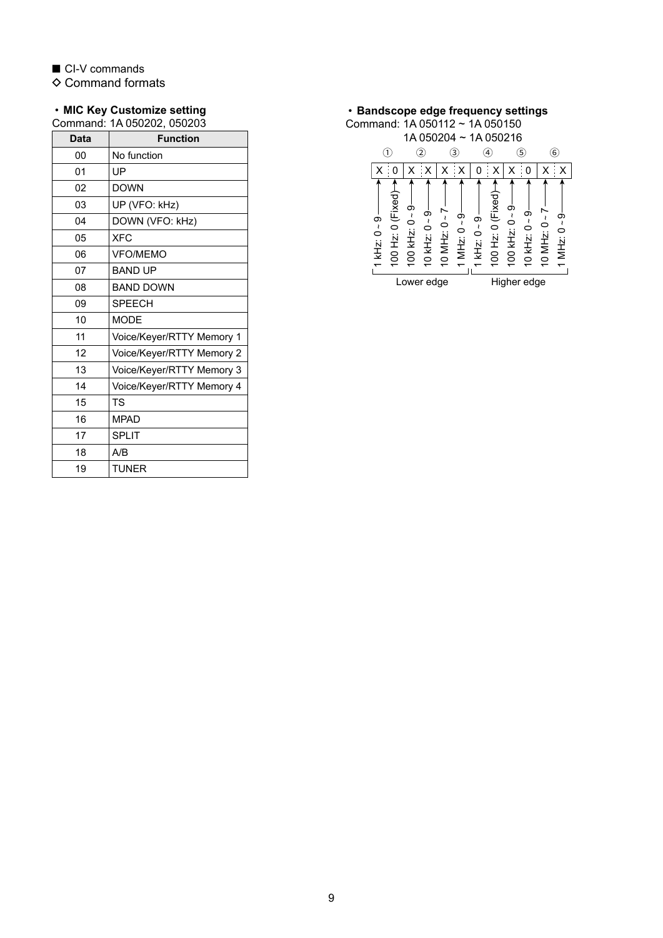$\diamond$  Command formats

#### <span id="page-8-0"></span>• **MIC Key Customize setting**

Command: 1A 050202, 050203

| <b>Data</b> | <b>Function</b>           |
|-------------|---------------------------|
| 00          | No function               |
| 01          | UP                        |
| 02          | <b>DOWN</b>               |
| 03          | UP (VFO: kHz)             |
| 04          | DOWN (VFO: kHz)           |
| 05          | <b>XFC</b>                |
| 06          | <b>VFO/MEMO</b>           |
| 07          | <b>BAND UP</b>            |
| 08          | <b>BAND DOWN</b>          |
| 09          | <b>SPEECH</b>             |
| 10          | <b>MODE</b>               |
| 11          | Voice/Keyer/RTTY Memory 1 |
| 12          | Voice/Keyer/RTTY Memory 2 |
| 13          | Voice/Keyer/RTTY Memory 3 |
| 14          | Voice/Keyer/RTTY Memory 4 |
| 15          | TS                        |
| 16          | <b>MPAD</b>               |
| 17          | <b>SPLIT</b>              |
| 18          | A/B                       |
| 19          | <b>TUNER</b>              |

<span id="page-8-1"></span>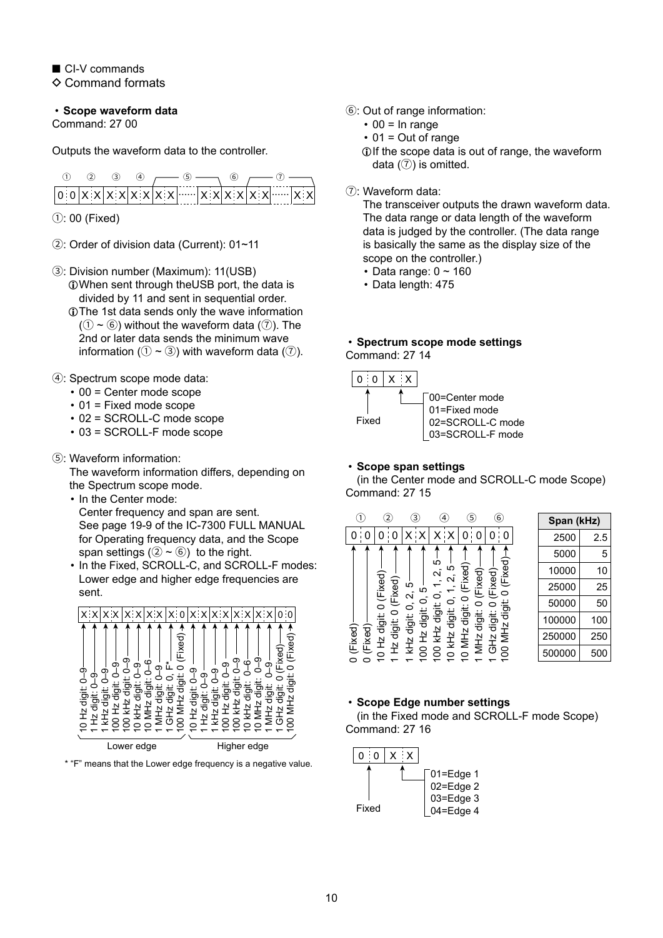$\Diamond$  Command formats

<span id="page-9-0"></span>• **Scope waveform data**

Command: 27 00

Outputs the waveform data to the controller.



 $0: 00$  (Fixed)

- 2: Order of division data (Current): 01~11
- 3: Division number (Maximum): 11(USB) LWhen sent through theUSB port, the data is divided by 11 and sent in sequential order.
	- LThe 1st data sends only the wave information  $(1) \sim (6)$ ) without the waveform data  $(7)$ ). The 2nd or later data sends the minimum wave information ( $(1 - 3)$ ) with waveform data ( $(7)$ ).
- 4: Spectrum scope mode data:
	- 00 = Center mode scope
	- 01 = Fixed mode scope
	- 02 = SCROLL-C mode scope
	- 03 = SCROLL-F mode scope
- 5: Waveform information:

The waveform information differs, depending on the Spectrum scope mode.

- In the Center mode:
- Center frequency and span are sent. See page 19-9 of the IC-7300 FULL MANUAL for Operating frequency data, and the Scope span settings ( $(2 \sim 6)$ ) to the right.
- In the Fixed, SCROLL-C, and SCROLL-F modes: Lower edge and higher edge frequencies are sent.



\* "F" means that the Lower edge frequency is a negative value.

- 6: Out of range information:
	- $\cdot$  00 = In range
	- $\cdot$  01 = Out of range
	- LIf the scope data is out of range, the waveform data  $(③)$  is omitted.
- 7: Waveform data:

The transceiver outputs the drawn waveform data. The data range or data length of the waveform data is judged by the controller. (The data range is basically the same as the display size of the scope on the controller.)

- Data range:  $0 \sim 160$
- Data length: 475

### <span id="page-9-1"></span>• **Spectrum scope mode settings** Command: 27 14



### <span id="page-9-2"></span>• **Scope span settings**

(in the Center mode and SCROLL-C mode Scope) Command: 27 15

| $\left(1\right)$  | $\mathbf{2}^{\cdot}$   | 3)               | 4                | 5                                  | $\epsilon$        | Span (kHz) |     |
|-------------------|------------------------|------------------|------------------|------------------------------------|-------------------|------------|-----|
|                   |                        |                  |                  |                                    | 0                 | 2500       | 2.5 |
|                   |                        |                  |                  |                                    |                   | 5000       | 5   |
|                   |                        |                  | 5<br>ഥ<br>ົ      | Fixed)<br>$\overline{\text{seed}}$ | (Fixed)-<br>ixed) | 10000      | 10  |
|                   | $0$ (Fixed)<br>(Fixed) | 5<br>ഥ<br>$\sim$ |                  |                                    | ◯                 | 25000      | 25  |
|                   |                        | ◯                | ◠                |                                    | digit             | 50000      | 50  |
|                   | digit:<br>digit:       | digit:<br>digit: | digit:<br>digit: | digit:<br>digit:                   | digit:            | 100000     | 100 |
| Fixed)-<br>Fixed) | <u> 신</u>              | N<br>I<br>N      | ₹                | MH <sub>Z</sub><br>$\frac{1}{2}$   | Η.<br>Σ<br>上      | 250000     | 250 |
| 0                 | 운                      | 곷<br>Զ           |                  | Σ                                  | 8<br>$\sqrt{2}$   | 500000     | 500 |

### <span id="page-9-3"></span>• **Scope Edge number settings**

(in the Fixed mode and SCROLL-F mode Scope) Command: 27 16

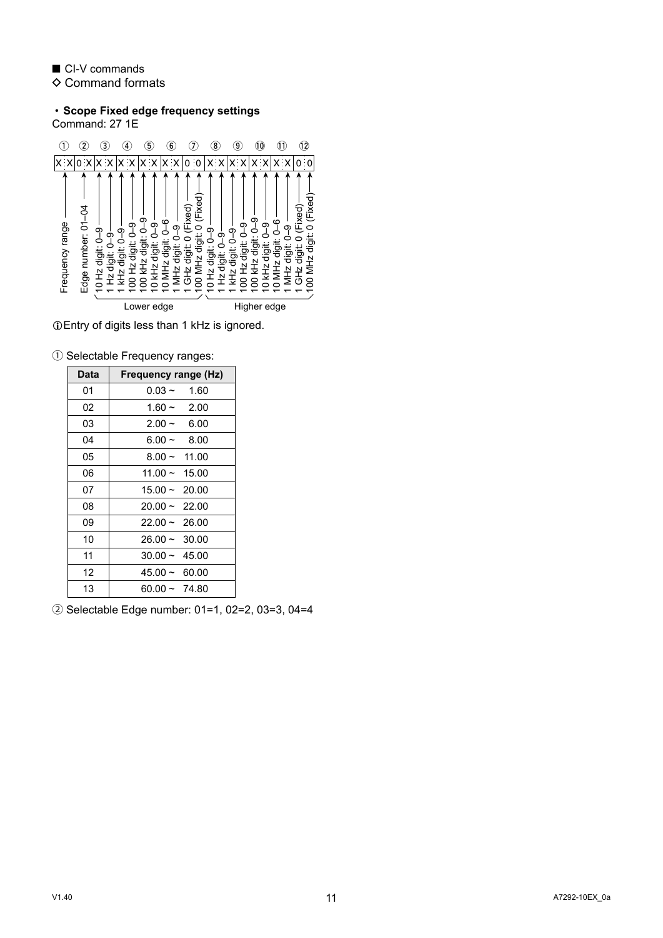$\diamond$  Command formats

# • **Scope Fixed edge frequency settings**

Command: 27 1E



LEntry of digits less than 1 kHz is ignored.

|  |  |  | 1 Selectable Frequency ranges: |  |
|--|--|--|--------------------------------|--|
|--|--|--|--------------------------------|--|

| Data | Frequency range (Hz) |
|------|----------------------|
| 01   | $0.03 \sim$<br>1.60  |
| 02   | $1.60 - 2.00$        |
| 03   | $2.00 - 6.00$        |
| 04   | 8.00<br>6.00 $\sim$  |
| 05   | $8.00 - 11.00$       |
| 06   | $11.00 \sim 15.00$   |
| 07   | $15.00 - 20.00$      |
| 08   | $20.00 \sim 22.00$   |
| 09   | $22.00 \sim 26.00$   |
| 10   | $26.00 \sim 30.00$   |
| 11   | $30.00 \sim 45.00$   |
| 12   | $45.00 \sim 60.00$   |
| 13   | $60.00 \sim 74.80$   |

2 Selectable Edge number: 01=1, 02=2, 03=3, 04=4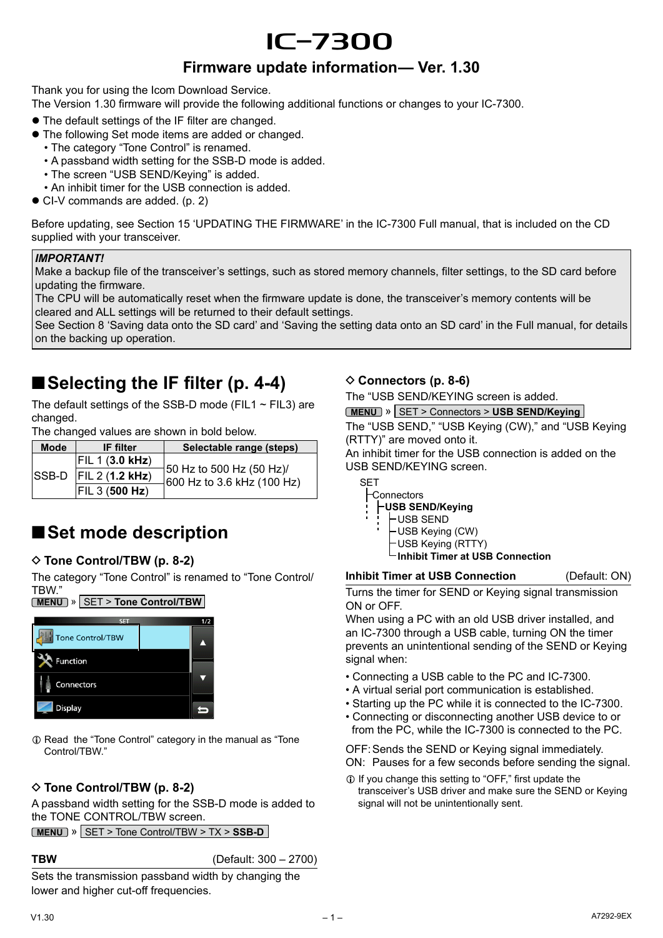# |7300

### **Firmware update information— Ver. 1.30**

Thank you for using the Icom Download Service.

The Version 1.30 firmware will provide the following additional functions or changes to your IC-7300.

- The default settings of the IF filter are changed.
- The following Set mode items are added or changed.
	- The category "Tone Control" is renamed.
	- A passband width setting for the SSB-D mode is added.
	- The screen "USB SEND/Keying" is added.
	- An inhibit timer for the USB connection is added.
- CI-V commands are added. (p. 2)

Before updating, see Section 15 'UPDATING THE FIRMWARE' in the IC-7300 Full manual, that is included on the CD supplied with your transceiver.

### *IMPORTANT!*

Make a backup file of the transceiver's settings, such as stored memory channels, filter settings, to the SD card before updating the firmware.

The CPU will be automatically reset when the firmware update is done, the transceiver's memory contents will be cleared and ALL settings will be returned to their default settings.

See Section 8 'Saving data onto the SD card' and 'Saving the setting data onto an SD card' in the Full manual, for details on the backing up operation.

# ■ Selecting the IF filter (p. 4-4)

The default settings of the SSB-D mode (FIL1  $\sim$  FIL3) are changed.

The changed values are shown in bold below.

| <b>Mode</b> | <b>IF</b> filter          | Selectable range (steps)                                             |
|-------------|---------------------------|----------------------------------------------------------------------|
|             | F L 1 (3.0 kHz)           |                                                                      |
|             | $ SSB-D $ FIL 2 (1.2 kHz) | $\frac{1}{2}$ 50 Hz to 500 Hz (50 Hz)/<br>600 Hz to 3.6 kHz (100 Hz) |
|             | $ F L$ 3 (500 Hz)         |                                                                      |

# ■**Set mode description**

### D **Tone Control/TBW (p. 8-2)**

The category "Tone Control" is renamed to "Tone Control/ TBW."



### L Read the "Tone Control" category in the manual as "Tone Control/TBW."

### D **Tone Control/TBW (p. 8-2)**

A passband width setting for the SSB-D mode is added to the TONE CONTROL/TBW screen.

 $\blacktriangleleft$ 

**MENU** » SET > Tone Control/TBW > TX > **SSB-D**

Connectors

Display

**TBW** (Default: 300 – 2700)

Sets the transmission passband width by changing the lower and higher cut-off frequencies.

### D **Connectors (p. 8-6)**

The "USB SEND/KEYING screen is added.

**MENU** » SET > Connectors > **USB SEND/Keying**

The "USB SEND," "USB Keying (CW)," and "USB Keying (RTTY)" are moved onto it.

An inhibit timer for the USB connection is added on the USB SEND/KEYING screen.

SET

Connectors

- **USB SEND/Keying**
- USB SEND
	- USB Keying (CW)
	- USB Keying (RTTY)
	- **Inhibit Timer at USB Connection**

**Inhibit Timer at USB Connection** (Default: ON)

Turns the timer for SEND or Keying signal transmission ON or OFF.

When using a PC with an old USB driver installed, and an IC-7300 through a USB cable, turning ON the timer prevents an unintentional sending of the SEND or Keying signal when:

- Connecting a USB cable to the PC and IC-7300.
- A virtual serial port communication is established.
- Starting up the PC while it is connected to the IC-7300.
- Connecting or disconnecting another USB device to or from the PC, while the IC-7300 is connected to the PC.

OFF:Sends the SEND or Keying signal immediately. ON: Pauses for a few seconds before sending the signal.

 $\odot$  If you change this setting to "OFF," first update the transceiver's USB driver and make sure the SEND or Keying signal will not be unintentionally sent.